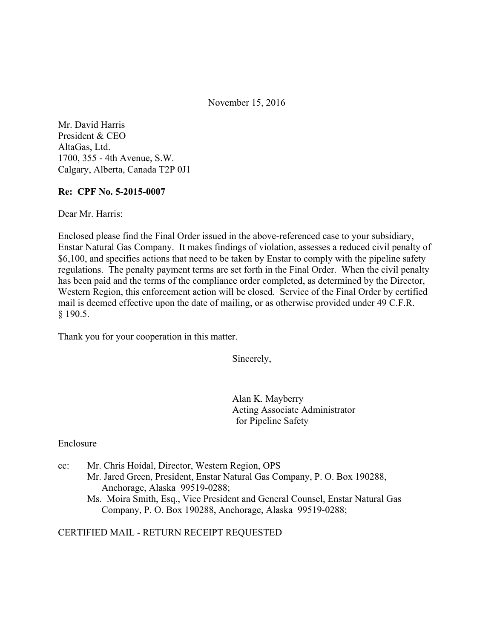November 15, 2016

Mr. David Harris President & CEO AltaGas, Ltd. 1700, 355 - 4th Avenue, S.W. Calgary, Alberta, Canada T2P 0J1

#### **Re: CPF No. 5-2015-0007**

Dear Mr. Harris:

Enclosed please find the Final Order issued in the above-referenced case to your subsidiary, Enstar Natural Gas Company. It makes findings of violation, assesses a reduced civil penalty of \$6,100, and specifies actions that need to be taken by Enstar to comply with the pipeline safety regulations. The penalty payment terms are set forth in the Final Order. When the civil penalty has been paid and the terms of the compliance order completed, as determined by the Director, Western Region, this enforcement action will be closed. Service of the Final Order by certified mail is deemed effective upon the date of mailing, or as otherwise provided under 49 C.F.R. § 190.5.

Thank you for your cooperation in this matter.

Sincerely,

Alan K. Mayberry Acting Associate Administrator for Pipeline Safety

Enclosure

- cc: Mr. Chris Hoidal, Director, Western Region, OPS Mr. Jared Green, President, Enstar Natural Gas Company, P. O. Box 190288, Anchorage, Alaska 99519-0288;
	- Ms. Moira Smith, Esq., Vice President and General Counsel, Enstar Natural Gas Company, P. O. Box 190288, Anchorage, Alaska 99519-0288;

#### CERTIFIED MAIL - RETURN RECEIPT REQUESTED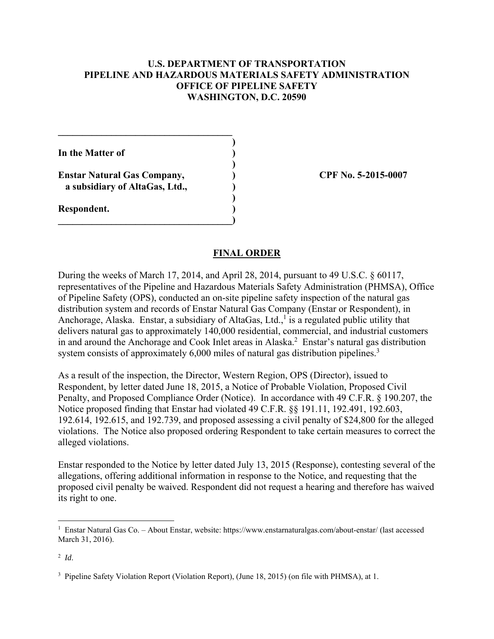#### **U.S. DEPARTMENT OF TRANSPORTATION PIPELINE AND HAZARDOUS MATERIALS SAFETY ADMINISTRATION OFFICE OF PIPELINE SAFETY WASHINGTON, D.C. 20590**

**In the Matter of )** 

**Enstar Natural Gas Company, ) CPF No. 5-2015-0007 a subsidiary of AltaGas, Ltd., )** 

 $\mathcal{L}=\{1,2,3,4,5\}$  **)** 

 **)** 

 **)** 

**\_\_\_\_\_\_\_\_\_\_\_\_\_\_\_\_\_\_\_\_\_\_\_\_\_\_\_\_\_\_\_\_\_\_\_\_)**

**Respondent. )** 

#### **FINAL ORDER**

During the weeks of March 17, 2014, and April 28, 2014, pursuant to 49 U.S.C. § 60117, representatives of the Pipeline and Hazardous Materials Safety Administration (PHMSA), Office of Pipeline Safety (OPS), conducted an on-site pipeline safety inspection of the natural gas distribution system and records of Enstar Natural Gas Company (Enstar or Respondent), in Anchorage, Alaska. Enstar, a subsidiary of AltaGas, Ltd.,<sup>1</sup> is a regulated public utility that delivers natural gas to approximately 140,000 residential, commercial, and industrial customers in and around the Anchorage and Cook Inlet areas in Alaska. $^2$  Enstar's natural gas distribution system consists of approximately  $6,000$  miles of natural gas distribution pipelines.<sup>3</sup>

As a result of the inspection, the Director, Western Region, OPS (Director), issued to Respondent, by letter dated June 18, 2015, a Notice of Probable Violation, Proposed Civil Penalty, and Proposed Compliance Order (Notice). In accordance with 49 C.F.R. § 190.207, the Notice proposed finding that Enstar had violated 49 C.F.R. §§ 191.11, 192.491, 192.603, 192.614, 192.615, and 192.739, and proposed assessing a civil penalty of \$24,800 for the alleged violations. The Notice also proposed ordering Respondent to take certain measures to correct the alleged violations.

Enstar responded to the Notice by letter dated July 13, 2015 (Response), contesting several of the allegations, offering additional information in response to the Notice, and requesting that the proposed civil penalty be waived. Respondent did not request a hearing and therefore has waived its right to one.

 $\overline{a}$ 

<sup>&</sup>lt;sup>1</sup> Enstar Natural Gas Co. – About Enstar, website: https://www.enstarnaturalgas.com/about-enstar/ (last accessed March 31, 2016).

<sup>2</sup> *Id*.

<sup>&</sup>lt;sup>3</sup> Pipeline Safety Violation Report (Violation Report), (June 18, 2015) (on file with PHMSA), at 1.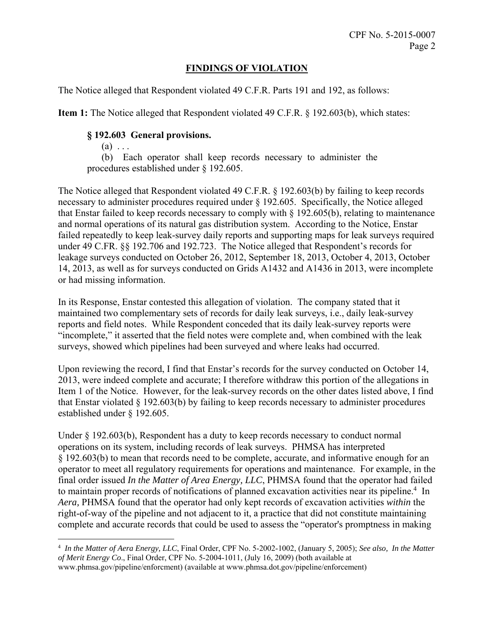## **FINDINGS OF VIOLATION**

The Notice alleged that Respondent violated 49 C.F.R. Parts 191 and 192, as follows:

**Item 1:** The Notice alleged that Respondent violated 49 C.F.R. § 192.603(b), which states:

### **§ 192.603 General provisions.**

 $(a) \ldots$ 

<u>.</u>

 (b) Each operator shall keep records necessary to administer the procedures established under § 192.605.

The Notice alleged that Respondent violated 49 C.F.R. § 192.603(b) by failing to keep records necessary to administer procedures required under § 192.605. Specifically, the Notice alleged that Enstar failed to keep records necessary to comply with § 192.605(b), relating to maintenance and normal operations of its natural gas distribution system. According to the Notice, Enstar failed repeatedly to keep leak-survey daily reports and supporting maps for leak surveys required under 49 C.FR. §§ 192.706 and 192.723. The Notice alleged that Respondent's records for leakage surveys conducted on October 26, 2012, September 18, 2013, October 4, 2013, October 14, 2013, as well as for surveys conducted on Grids A1432 and A1436 in 2013, were incomplete or had missing information.

In its Response, Enstar contested this allegation of violation. The company stated that it maintained two complementary sets of records for daily leak surveys, i.e., daily leak-survey reports and field notes. While Respondent conceded that its daily leak-survey reports were "incomplete," it asserted that the field notes were complete and, when combined with the leak surveys, showed which pipelines had been surveyed and where leaks had occurred.

Upon reviewing the record, I find that Enstar's records for the survey conducted on October 14, 2013, were indeed complete and accurate; I therefore withdraw this portion of the allegations in Item 1 of the Notice. However, for the leak-survey records on the other dates listed above, I find that Enstar violated  $\S 192.603(b)$  by failing to keep records necessary to administer procedures established under § 192.605.

Under § 192.603(b), Respondent has a duty to keep records necessary to conduct normal operations on its system, including records of leak surveys. PHMSA has interpreted § 192.603(b) to mean that records need to be complete, accurate, and informative enough for an operator to meet all regulatory requirements for operations and maintenance. For example, in the final order issued *In the Matter of Area Energy, LLC*, PHMSA found that the operator had failed to maintain proper records of notifications of planned excavation activities near its pipeline.<sup>4</sup> In *Aera,* PHMSA found that the operator had only kept records of excavation activities *within* the right-of-way of the pipeline and not adjacent to it, a practice that did not constitute maintaining complete and accurate records that could be used to assess the "operator's promptness in making

<sup>4</sup> *In the Matter of Aera Energy, LLC*, Final Order, CPF No. 5-2002-1002, (January 5, 2005); *See also, In the Matter of Merit Energy Co*., Final Order, CPF No. 5-2004-1011, (July 16, 2009) (both available at www.phmsa.gov/pipeline/enforcment) (available at www.phmsa.dot.gov/pipeline/enforcement)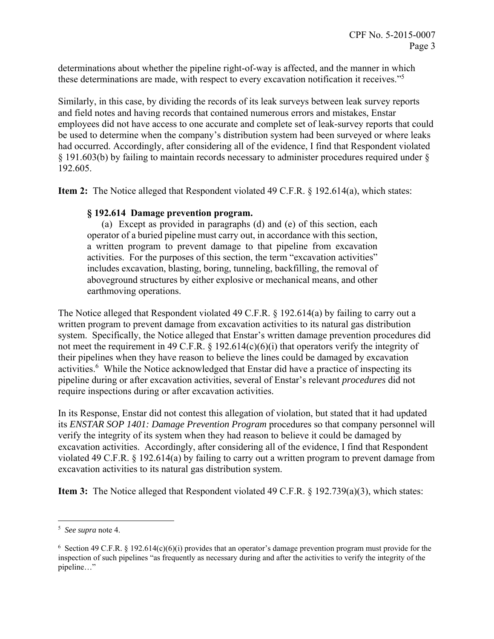determinations about whether the pipeline right-of-way is affected, and the manner in which these determinations are made, with respect to every excavation notification it receives."<sup>5</sup>

Similarly, in this case, by dividing the records of its leak surveys between leak survey reports and field notes and having records that contained numerous errors and mistakes, Enstar employees did not have access to one accurate and complete set of leak-survey reports that could be used to determine when the company's distribution system had been surveyed or where leaks had occurred. Accordingly, after considering all of the evidence, I find that Respondent violated § 191.603(b) by failing to maintain records necessary to administer procedures required under § 192.605.

**Item 2:** The Notice alleged that Respondent violated 49 C.F.R. § 192.614(a), which states:

#### **§ 192.614 Damage prevention program.**

(a)Except as provided in paragraphs (d) and (e) of this section, each operator of a buried pipeline must carry out, in accordance with this section, a written program to prevent damage to that pipeline from excavation activities. For the purposes of this section, the term "excavation activities" includes excavation, blasting, boring, tunneling, backfilling, the removal of aboveground structures by either explosive or mechanical means, and other earthmoving operations.

The Notice alleged that Respondent violated 49 C.F.R. § 192.614(a) by failing to carry out a written program to prevent damage from excavation activities to its natural gas distribution system. Specifically, the Notice alleged that Enstar's written damage prevention procedures did not meet the requirement in 49 C.F.R. § 192.614(c)(6)(i) that operators verify the integrity of their pipelines when they have reason to believe the lines could be damaged by excavation activities.<sup>6</sup> While the Notice acknowledged that Enstar did have a practice of inspecting its pipeline during or after excavation activities, several of Enstar's relevant *procedures* did not require inspections during or after excavation activities.

In its Response, Enstar did not contest this allegation of violation, but stated that it had updated its *ENSTAR SOP 1401: Damage Prevention Program* procedures so that company personnel will verify the integrity of its system when they had reason to believe it could be damaged by excavation activities. Accordingly, after considering all of the evidence, I find that Respondent violated 49 C.F.R. § 192.614(a) by failing to carry out a written program to prevent damage from excavation activities to its natural gas distribution system.

**Item 3:** The Notice alleged that Respondent violated 49 C.F.R. § 192.739(a)(3), which states:

 5 *See supra* note 4.

<sup>&</sup>lt;sup>6</sup> Section 49 C.F.R. § 192.614(c)(6)(i) provides that an operator's damage prevention program must provide for the inspection of such pipelines "as frequently as necessary during and after the activities to verify the integrity of the pipeline…"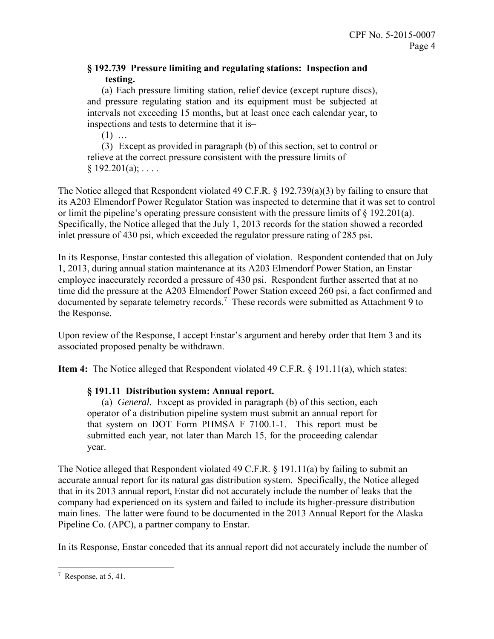## **§ 192.739 Pressure limiting and regulating stations: Inspection and testing.**

 (a) Each pressure limiting station, relief device (except rupture discs), and pressure regulating station and its equipment must be subjected at intervals not exceeding 15 months, but at least once each calendar year, to inspections and tests to determine that it is–

 $(1)$  ...

 (3) Except as provided in paragraph (b) of this section, set to control or relieve at the correct pressure consistent with the pressure limits of  $§ 192.201(a); \ldots$ 

The Notice alleged that Respondent violated 49 C.F.R. § 192.739(a)(3) by failing to ensure that its A203 Elmendorf Power Regulator Station was inspected to determine that it was set to control or limit the pipeline's operating pressure consistent with the pressure limits of § 192.201(a). Specifically, the Notice alleged that the July 1, 2013 records for the station showed a recorded inlet pressure of 430 psi, which exceeded the regulator pressure rating of 285 psi.

In its Response, Enstar contested this allegation of violation. Respondent contended that on July 1, 2013, during annual station maintenance at its A203 Elmendorf Power Station, an Enstar employee inaccurately recorded a pressure of 430 psi. Respondent further asserted that at no time did the pressure at the A203 Elmendorf Power Station exceed 260 psi, a fact confirmed and documented by separate telemetry records.<sup>7</sup> These records were submitted as Attachment 9 to the Response.

Upon review of the Response, I accept Enstar's argument and hereby order that Item 3 and its associated proposed penalty be withdrawn.

**Item 4:** The Notice alleged that Respondent violated 49 C.F.R. § 191.11(a), which states:

## **§ 191.11 Distribution system: Annual report.**

(a)*General*. Except as provided in paragraph (b) of this section, each operator of a distribution pipeline system must submit an annual report for that system on DOT Form PHMSA F 7100.1-1. This report must be submitted each year, not later than March 15, for the proceeding calendar year.

The Notice alleged that Respondent violated 49 C.F.R. § 191.11(a) by failing to submit an accurate annual report for its natural gas distribution system. Specifically, the Notice alleged that in its 2013 annual report, Enstar did not accurately include the number of leaks that the company had experienced on its system and failed to include its higher-pressure distribution main lines. The latter were found to be documented in the 2013 Annual Report for the Alaska Pipeline Co. (APC), a partner company to Enstar.

In its Response, Enstar conceded that its annual report did not accurately include the number of

<sup>&</sup>lt;u>.</u> <sup>7</sup> Response, at 5, 41.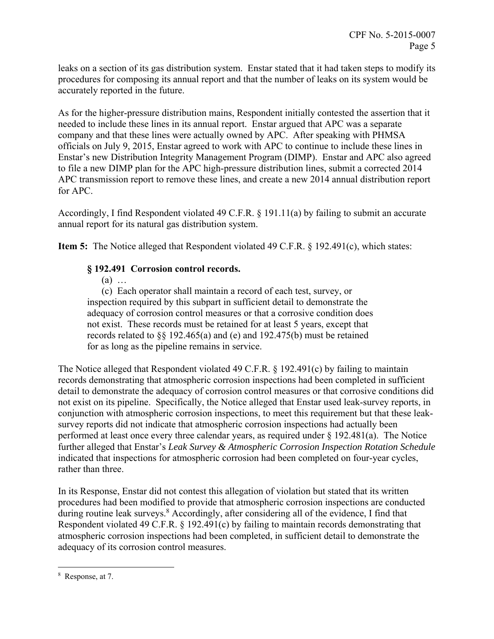leaks on a section of its gas distribution system. Enstar stated that it had taken steps to modify its procedures for composing its annual report and that the number of leaks on its system would be accurately reported in the future.

As for the higher-pressure distribution mains, Respondent initially contested the assertion that it needed to include these lines in its annual report. Enstar argued that APC was a separate company and that these lines were actually owned by APC. After speaking with PHMSA officials on July 9, 2015, Enstar agreed to work with APC to continue to include these lines in Enstar's new Distribution Integrity Management Program (DIMP). Enstar and APC also agreed to file a new DIMP plan for the APC high-pressure distribution lines, submit a corrected 2014 APC transmission report to remove these lines, and create a new 2014 annual distribution report for APC.

Accordingly, I find Respondent violated 49 C.F.R. § 191.11(a) by failing to submit an accurate annual report for its natural gas distribution system.

**Item 5:** The Notice alleged that Respondent violated 49 C.F.R. § 192.491(c), which states:

# **§ 192.491 Corrosion control records.**

(a) …

(c) Each operator shall maintain a record of each test, survey, or inspection required by this subpart in sufficient detail to demonstrate the adequacy of corrosion control measures or that a corrosive condition does not exist. These records must be retained for at least 5 years, except that records related to §§ 192.465(a) and (e) and 192.475(b) must be retained for as long as the pipeline remains in service.

The Notice alleged that Respondent violated 49 C.F.R. § 192.491(c) by failing to maintain records demonstrating that atmospheric corrosion inspections had been completed in sufficient detail to demonstrate the adequacy of corrosion control measures or that corrosive conditions did not exist on its pipeline. Specifically, the Notice alleged that Enstar used leak-survey reports, in conjunction with atmospheric corrosion inspections, to meet this requirement but that these leaksurvey reports did not indicate that atmospheric corrosion inspections had actually been performed at least once every three calendar years, as required under § 192.481(a). The Notice further alleged that Enstar's *Leak Survey & Atmospheric Corrosion Inspection Rotation Schedule*  indicated that inspections for atmospheric corrosion had been completed on four-year cycles, rather than three.

In its Response, Enstar did not contest this allegation of violation but stated that its written procedures had been modified to provide that atmospheric corrosion inspections are conducted during routine leak surveys.<sup>8</sup> Accordingly, after considering all of the evidence, I find that Respondent violated 49 C.F.R. § 192.491(c) by failing to maintain records demonstrating that atmospheric corrosion inspections had been completed, in sufficient detail to demonstrate the adequacy of its corrosion control measures.

 $\overline{a}$ 

<sup>8</sup> Response, at 7.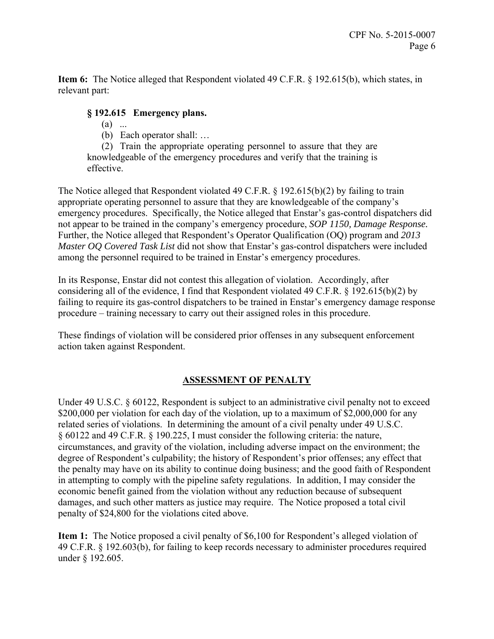**Item 6:** The Notice alleged that Respondent violated 49 C.F.R. § 192.615(b), which states, in relevant part:

### **§ 192.615 Emergency plans.**

- (a)...
- (b) Each operator shall: …

(2) Train the appropriate operating personnel to assure that they are knowledgeable of the emergency procedures and verify that the training is effective.

The Notice alleged that Respondent violated 49 C.F.R. § 192.615(b)(2) by failing to train appropriate operating personnel to assure that they are knowledgeable of the company's emergency procedures. Specifically, the Notice alleged that Enstar's gas-control dispatchers did not appear to be trained in the company's emergency procedure, *SOP 1150, Damage Response.* Further, the Notice alleged that Respondent's Operator Qualification (OQ) program and *2013 Master OQ Covered Task List* did not show that Enstar's gas-control dispatchers were included among the personnel required to be trained in Enstar's emergency procedures.

In its Response, Enstar did not contest this allegation of violation. Accordingly, after considering all of the evidence, I find that Respondent violated 49 C.F.R.  $\S$  192.615(b)(2) by failing to require its gas-control dispatchers to be trained in Enstar's emergency damage response procedure – training necessary to carry out their assigned roles in this procedure.

These findings of violation will be considered prior offenses in any subsequent enforcement action taken against Respondent.

## **ASSESSMENT OF PENALTY**

Under 49 U.S.C. § 60122, Respondent is subject to an administrative civil penalty not to exceed \$200,000 per violation for each day of the violation, up to a maximum of \$2,000,000 for any related series of violations. In determining the amount of a civil penalty under 49 U.S.C. § 60122 and 49 C.F.R. § 190.225, I must consider the following criteria: the nature, circumstances, and gravity of the violation, including adverse impact on the environment; the degree of Respondent's culpability; the history of Respondent's prior offenses; any effect that the penalty may have on its ability to continue doing business; and the good faith of Respondent in attempting to comply with the pipeline safety regulations. In addition, I may consider the economic benefit gained from the violation without any reduction because of subsequent damages, and such other matters as justice may require. The Notice proposed a total civil penalty of \$24,800 for the violations cited above.

**Item 1:** The Notice proposed a civil penalty of \$6,100 for Respondent's alleged violation of 49 C.F.R. § 192.603(b), for failing to keep records necessary to administer procedures required under § 192.605.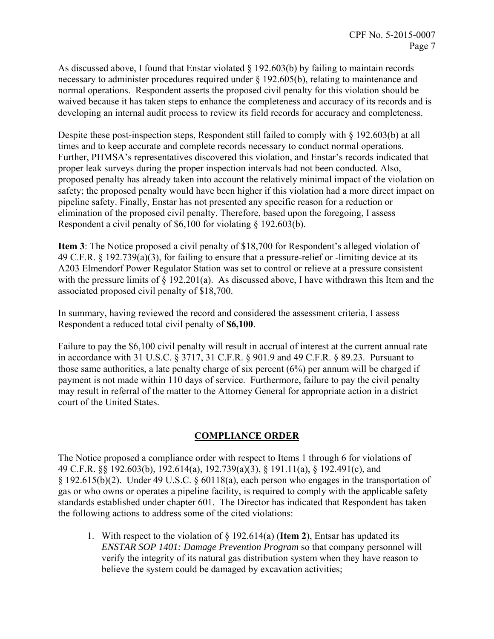As discussed above, I found that Enstar violated § 192.603(b) by failing to maintain records necessary to administer procedures required under § 192.605(b), relating to maintenance and normal operations. Respondent asserts the proposed civil penalty for this violation should be waived because it has taken steps to enhance the completeness and accuracy of its records and is developing an internal audit process to review its field records for accuracy and completeness.

Despite these post-inspection steps, Respondent still failed to comply with § 192.603(b) at all times and to keep accurate and complete records necessary to conduct normal operations. Further, PHMSA's representatives discovered this violation, and Enstar's records indicated that proper leak surveys during the proper inspection intervals had not been conducted. Also, proposed penalty has already taken into account the relatively minimal impact of the violation on safety; the proposed penalty would have been higher if this violation had a more direct impact on pipeline safety. Finally, Enstar has not presented any specific reason for a reduction or elimination of the proposed civil penalty. Therefore, based upon the foregoing, I assess Respondent a civil penalty of \$6,100 for violating § 192.603(b).

**Item 3**: The Notice proposed a civil penalty of \$18,700 for Respondent's alleged violation of 49 C.F.R. § 192.739(a)(3), for failing to ensure that a pressure-relief or -limiting device at its A203 Elmendorf Power Regulator Station was set to control or relieve at a pressure consistent with the pressure limits of  $\S$  192.201(a). As discussed above, I have withdrawn this Item and the associated proposed civil penalty of \$18,700.

In summary, having reviewed the record and considered the assessment criteria, I assess Respondent a reduced total civil penalty of **\$6,100**.

Failure to pay the \$6,100 civil penalty will result in accrual of interest at the current annual rate in accordance with 31 U.S.C. § 3717, 31 C.F.R. § 901.9 and 49 C.F.R. § 89.23. Pursuant to those same authorities, a late penalty charge of six percent (6%) per annum will be charged if payment is not made within 110 days of service. Furthermore, failure to pay the civil penalty may result in referral of the matter to the Attorney General for appropriate action in a district court of the United States.

## **COMPLIANCE ORDER**

The Notice proposed a compliance order with respect to Items 1 through 6 for violations of 49 C.F.R. §§ 192.603(b), 192.614(a), 192.739(a)(3), § 191.11(a), § 192.491(c), and § 192.615(b)(2). Under 49 U.S.C. § 60118(a), each person who engages in the transportation of gas or who owns or operates a pipeline facility, is required to comply with the applicable safety standards established under chapter 601. The Director has indicated that Respondent has taken the following actions to address some of the cited violations:

1. With respect to the violation of § 192.614(a) (**Item 2**), Entsar has updated its *ENSTAR SOP 1401: Damage Prevention Program* so that company personnel will verify the integrity of its natural gas distribution system when they have reason to believe the system could be damaged by excavation activities;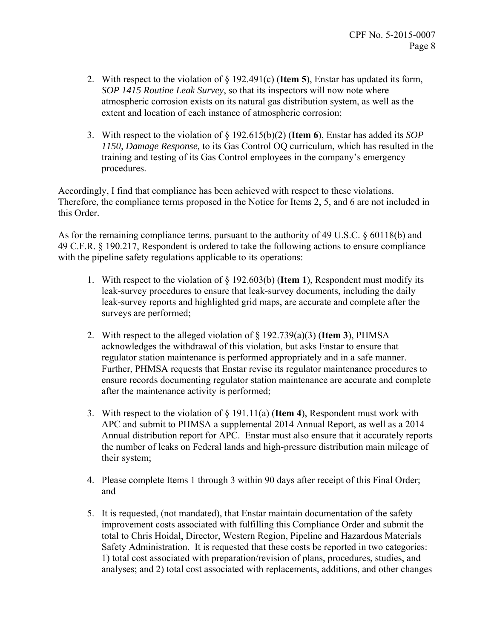- 2. With respect to the violation of § 192.491(c) (**Item 5**), Enstar has updated its form, *SOP 1415 Routine Leak Survey*, so that its inspectors will now note where atmospheric corrosion exists on its natural gas distribution system, as well as the extent and location of each instance of atmospheric corrosion;
- 3. With respect to the violation of § 192.615(b)(2) (**Item 6**), Enstar has added its *SOP 1150, Damage Response,* to its Gas Control OQ curriculum, which has resulted in the training and testing of its Gas Control employees in the company's emergency procedures.

Accordingly, I find that compliance has been achieved with respect to these violations. Therefore, the compliance terms proposed in the Notice for Items 2, 5, and 6 are not included in this Order.

As for the remaining compliance terms, pursuant to the authority of 49 U.S.C. § 60118(b) and 49 C.F.R. § 190.217, Respondent is ordered to take the following actions to ensure compliance with the pipeline safety regulations applicable to its operations:

- 1. With respect to the violation of § 192.603(b) (**Item 1**), Respondent must modify its leak-survey procedures to ensure that leak-survey documents, including the daily leak-survey reports and highlighted grid maps, are accurate and complete after the surveys are performed;
- 2. With respect to the alleged violation of § 192.739(a)(3) (**Item 3**), PHMSA acknowledges the withdrawal of this violation, but asks Enstar to ensure that regulator station maintenance is performed appropriately and in a safe manner. Further, PHMSA requests that Enstar revise its regulator maintenance procedures to ensure records documenting regulator station maintenance are accurate and complete after the maintenance activity is performed;
- 3. With respect to the violation of § 191.11(a) (**Item 4**), Respondent must work with APC and submit to PHMSA a supplemental 2014 Annual Report, as well as a 2014 Annual distribution report for APC. Enstar must also ensure that it accurately reports the number of leaks on Federal lands and high-pressure distribution main mileage of their system;
- 4. Please complete Items 1 through 3 within 90 days after receipt of this Final Order; and
- 5. It is requested, (not mandated), that Enstar maintain documentation of the safety improvement costs associated with fulfilling this Compliance Order and submit the total to Chris Hoidal, Director, Western Region, Pipeline and Hazardous Materials Safety Administration. It is requested that these costs be reported in two categories: 1) total cost associated with preparation/revision of plans, procedures, studies, and analyses; and 2) total cost associated with replacements, additions, and other changes